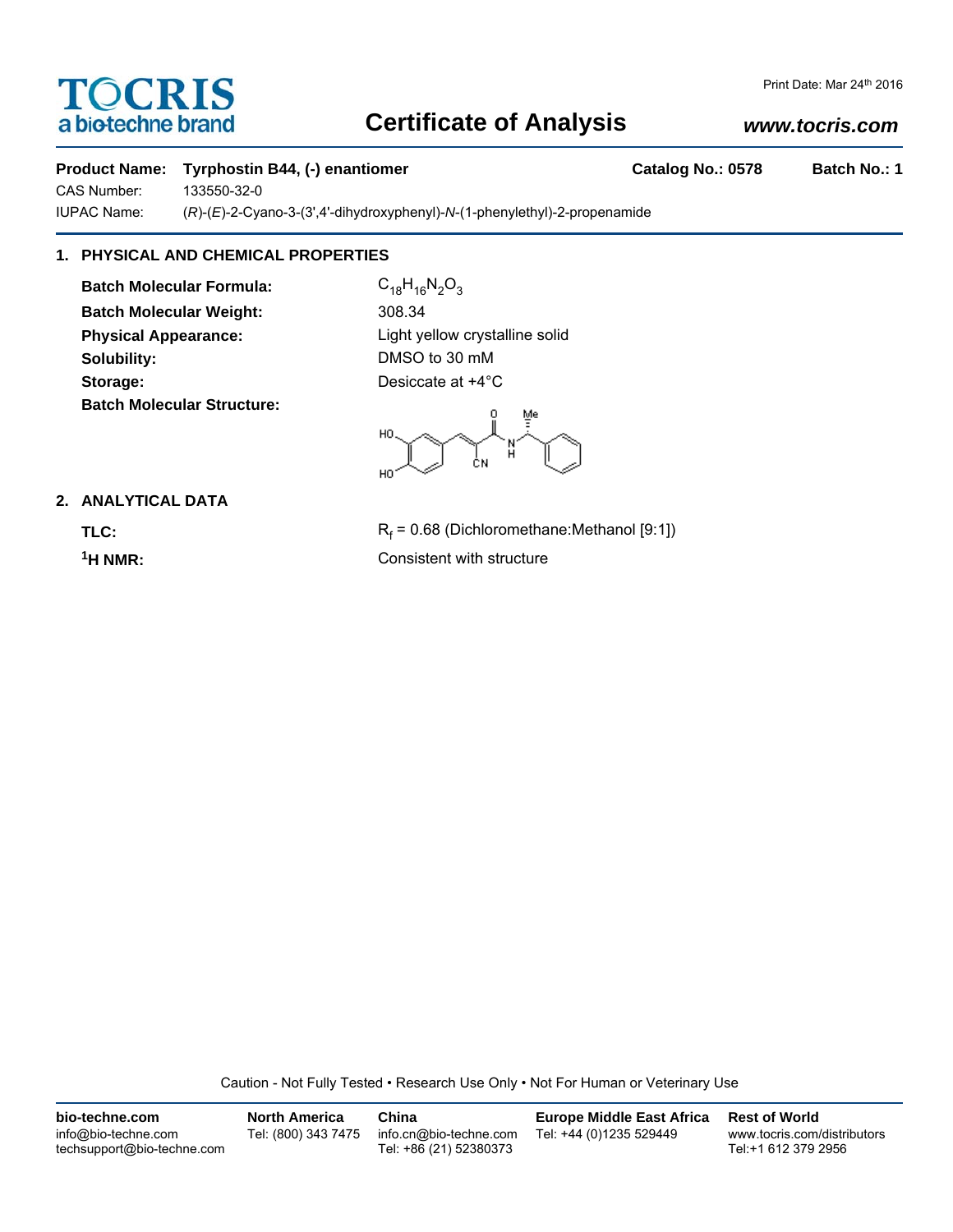# **TOCRIS** a biotechne brand

# **Certificate of Analysis**

## *www.tocris.com*

## Product Name: Tyrphostin B44, (-) enantiomer **Catalog No.: 0578** Batch No.: 1

CAS Number: 133550-32-0

IUPAC Name: (*R*)-(*E*)-2-Cyano-3-(3',4'-dihydroxyphenyl)-*N*-(1-phenylethyl)-2-propenamide

## **1. PHYSICAL AND CHEMICAL PROPERTIES**

**Batch Molecular Formula:** C<sub>18</sub>H<sub>16</sub>N<sub>2</sub>O<sub>3</sub> **Batch Molecular Weight:** 308.34 **Physical Appearance:** Light yellow crystalline solid **Solubility:** DMSO to 30 mM **Storage:** Desiccate at  $+4^{\circ}$ C **Batch Molecular Structure:**

 $\overline{0}$ HO ĊΝ HO.

## **2. ANALYTICAL DATA**

TLC: R<sub>f</sub>

 $R_f$  = 0.68 (Dichloromethane:Methanol [9:1]) **1H NMR:** Consistent with structure

Caution - Not Fully Tested • Research Use Only • Not For Human or Veterinary Use

| bio-techne.com                                    | <b>North America</b> | China                                            | <b>Europe Middle East Africa</b> | <b>Rest of World</b>                               |
|---------------------------------------------------|----------------------|--------------------------------------------------|----------------------------------|----------------------------------------------------|
| info@bio-techne.com<br>techsupport@bio-techne.com | Tel: (800) 343 7475  | info.cn@bio-techne.com<br>Tel: +86 (21) 52380373 | Tel: +44 (0)1235 529449          | www.tocris.com/distributors<br>Tel:+1 612 379 2956 |